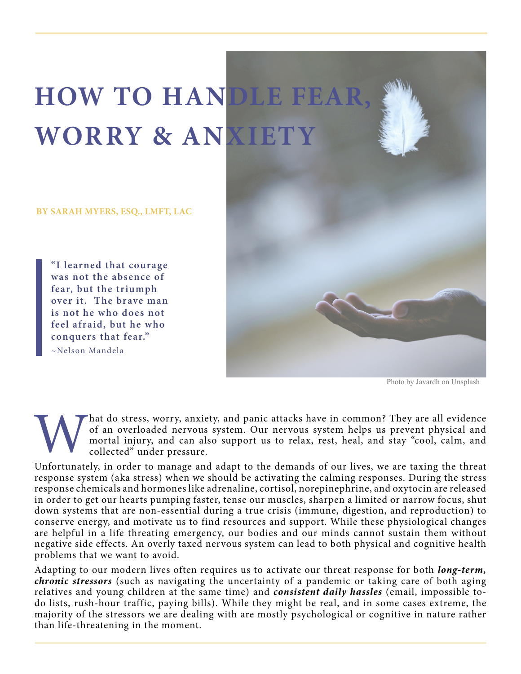## **HOW TO HANDLE FEAR, WORRY & ANXIETY**

**BY SARAH MYERS, ESQ., LMFT, LAC**

**"I learned that courage was not the absence of fear, but the triumph over it. The brave man is not he who does not feel afraid, but he who conquers that fear."** ~Nelson Mandela



Photo by Javardh on Unsplash

hat do stress, worry, anxiety, and panic attacks have in common? They are all evidence of an overloaded nervous system. Our nervous system helps us prevent physical and mortal injury, and can also support us to relax, rest, heal, and stay "cool, calm, and collected" under pressure.

Unfortunately, in order to manage and adapt to the demands of our lives, we are taxing the threat response system (aka stress) when we should be activating the calming responses. During the stress response chemicals and hormones like adrenaline, cortisol, norepinephrine, and oxytocin are released in order to get our hearts pumping faster, tense our muscles, sharpen a limited or narrow focus, shut down systems that are non-essential during a true crisis (immune, digestion, and reproduction) to conserve energy, and motivate us to find resources and support. While these physiological changes are helpful in a life threating emergency, our bodies and our minds cannot sustain them without negative side effects. An overly taxed nervous system can lead to both physical and cognitive health problems that we want to avoid.

Adapting to our modern lives often requires us to activate our threat response for both *long-term, chronic stressors* (such as navigating the uncertainty of a pandemic or taking care of both aging relatives and young children at the same time) and *consistent daily hassles* (email, impossible todo lists, rush-hour traffic, paying bills). While they might be real, and in some cases extreme, the majority of the stressors we are dealing with are mostly psychological or cognitive in nature rather than life-threatening in the moment.